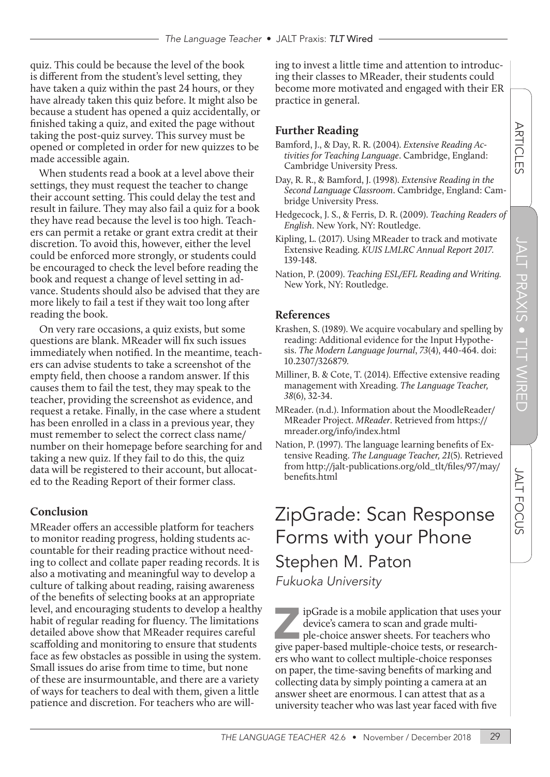quiz. This could be because the level of the book is different from the student's level setting, they have taken a quiz within the past 24 hours, or they have already taken this quiz before. It might also be because a student has opened a quiz accidentally, or finished taking a quiz, and exited the page without taking the post-quiz survey. This survey must be opened or completed in order for new quizzes to be made accessible again.

When students read a book at a level above their settings, they must request the teacher to change their account setting. This could delay the test and result in failure. They may also fail a quiz for a book they have read because the level is too high. Teachers can permit a retake or grant extra credit at their discretion. To avoid this, however, either the level could be enforced more strongly, or students could be encouraged to check the level before reading the book and request a change of level setting in advance. Students should also be advised that they are more likely to fail a test if they wait too long after reading the book.

On very rare occasions, a quiz exists, but some questions are blank. MReader will fix such issues immediately when notified. In the meantime, teachers can advise students to take a screenshot of the empty field, then choose a random answer. If this causes them to fail the test, they may speak to the teacher, providing the screenshot as evidence, and request a retake. Finally, in the case where a student has been enrolled in a class in a previous year, they must remember to select the correct class name/ number on their homepage before searching for and taking a new quiz. If they fail to do this, the quiz data will be registered to their account, but allocated to the Reading Report of their former class.

#### **Conclusion**

MReader offers an accessible platform for teachers to monitor reading progress, holding students accountable for their reading practice without needing to collect and collate paper reading records. It is also a motivating and meaningful way to develop a culture of talking about reading, raising awareness of the benefits of selecting books at an appropriate level, and encouraging students to develop a healthy habit of regular reading for fluency. The limitations detailed above show that MReader requires careful scaffolding and monitoring to ensure that students face as few obstacles as possible in using the system. Small issues do arise from time to time, but none of these are insurmountable, and there are a variety of ways for teachers to deal with them, given a little patience and discretion. For teachers who are willing to invest a little time and attention to introducing their classes to MReader, their students could become more motivated and engaged with their ER practice in general.

#### **Further Reading**

- Bamford, J., & Day, R. R. (2004). *Extensive Reading Activities for Teaching Language*. Cambridge, England: Cambridge University Press.
- Day, R. R., & Bamford, J. (1998). *Extensive Reading in the Second Language Classroom*. Cambridge, England: Cambridge University Press.
- Hedgecock, J. S., & Ferris, D. R. (2009). *Teaching Readers of English*. New York, NY: Routledge.
- Kipling, L. (2017). Using MReader to track and motivate Extensive Reading. *KUIS LMLRC Annual Report* 2017*.*  139-148.
- Nation, P. (2009). *Teaching ESL/EFL Reading and Writing.*  New York, NY: Routledge.

#### **References**

- Krashen, S. (1989). We acquire vocabulary and spelling by reading: Additional evidence for the Input Hypothesis. *The Modern Language Journal*, 73(4), 440-464. doi: 10.2307/326879*.*
- Milliner, B. & Cote, T. (2014). Effective extensive reading management with Xreading. *The Language Teacher,* 38(6), 32-34.
- MReader. (n.d.). Information about the MoodleReader/ MReader Project. *MReader*. Retrieved from https:// mreader.org/info/index.html
- Nation, P. (1997). The language learning benefits of Extensive Reading. *The Language Teacher,* 21(5). Retrieved from http://jalt-publications.org/old\_tlt/files/97/may/ benefits.html

## ZipGrade: Scan Response Forms with your Phone Stephen M. Paton Fukuoka University

ipGrade is a mobile application that uses your device's camera to scan and grade multiple-choice answer sheets. For teachers who give paper-based multiple-choice tests, or researchers who want to collect multiple-choice responses on paper, the time-saving benefits of marking and collecting data by simply pointing a camera at an answer sheet are enormous. I can attest that as a university teacher who was last year faced with five

**JALT FOCUS**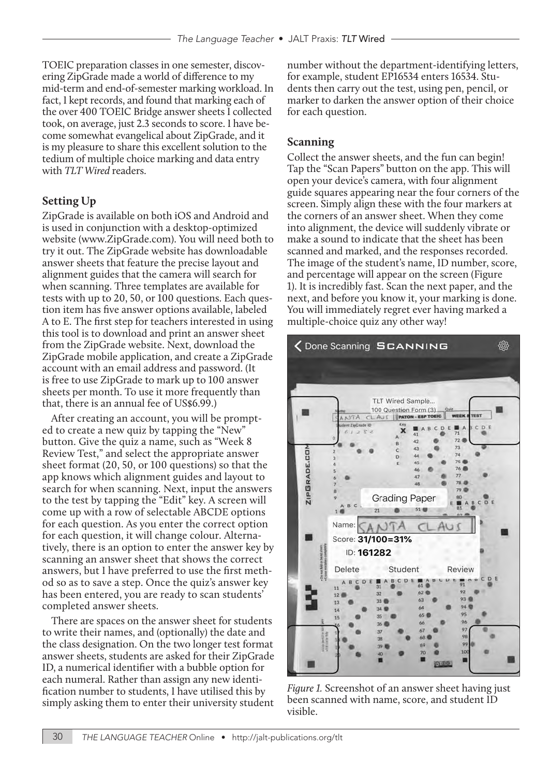TOEIC preparation classes in one semester, discovering ZipGrade made a world of difference to my mid-term and end-of-semester marking workload. In fact, I kept records, and found that marking each of the over 400 TOEIC Bridge answer sheets I collected took, on average, just 2.3 seconds to score. I have become somewhat evangelical about ZipGrade, and it is my pleasure to share this excellent solution to the tedium of multiple choice marking and data entry with *TLT Wired* readers.

#### **Setting Up**

ZipGrade is available on both iOS and Android and is used in conjunction with a desktop-optimized website (www.ZipGrade.com). You will need both to try it out. The ZipGrade website has downloadable answer sheets that feature the precise layout and alignment guides that the camera will search for when scanning. Three templates are available for tests with up to 20, 50, or 100 questions. Each question item has five answer options available, labeled A to E. The first step for teachers interested in using this tool is to download and print an answer sheet from the ZipGrade website. Next, download the ZipGrade mobile application, and create a ZipGrade account with an email address and password. (It is free to use ZipGrade to mark up to 100 answer sheets per month. To use it more frequently than that, there is an annual fee of US\$6.99.)

After creating an account, you will be prompted to create a new quiz by tapping the "New" button. Give the quiz a name, such as "Week 8 Review Test," and select the appropriate answer sheet format (20, 50, or 100 questions) so that the app knows which alignment guides and layout to search for when scanning. Next, input the answers to the test by tapping the "Edit" key. A screen will come up with a row of selectable ABCDE options for each question. As you enter the correct option for each question, it will change colour. Alternatively, there is an option to enter the answer key by scanning an answer sheet that shows the correct answers, but I have preferred to use the first method so as to save a step. Once the quiz's answer key has been entered, you are ready to scan students' completed answer sheets.

There are spaces on the answer sheet for students to write their names, and (optionally) the date and the class designation. On the two longer test format answer sheets, students are asked for their ZipGrade ID, a numerical identifier with a bubble option for each numeral. Rather than assign any new identification number to students, I have utilised this by simply asking them to enter their university student

number without the department-identifying letters, for example, student EP16534 enters 16534. Students then carry out the test, using pen, pencil, or marker to darken the answer option of their choice for each question.

#### **Scanning**

Collect the answer sheets, and the fun can begin! Tap the "Scan Papers" button on the app. This will open your device's camera, with four alignment guide squares appearing near the four corners of the screen. Simply align these with the four markers at the corners of an answer sheet. When they come into alignment, the device will suddenly vibrate or make a sound to indicate that the sheet has been scanned and marked, and the responses recorded. The image of the student's name, ID number, score, and percentage will appear on the screen (Figure 1). It is incredibly fast. Scan the next paper, and the next, and before you know it, your marking is done. You will immediately regret ever having marked a multiple-choice quiz any other way!



*Figure* 1*.* Screenshot of an answer sheet having just been scanned with name, score, and student ID visible.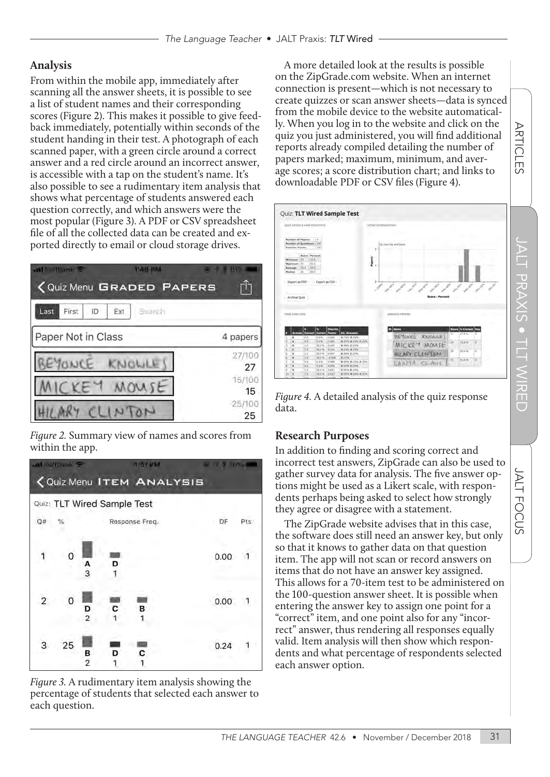#### **Analysis**

From within the mobile app, immediately after scanning all the answer sheets, it is possible to see a list of student names and their corresponding scores (Figure 2). This makes it possible to give feedback immediately, potentially within seconds of the student handing in their test. A photograph of each scanned paper, with a green circle around a correct answer and a red circle around an incorrect answer, is accessible with a tap on the student's name. It's also possible to see a rudimentary item analysis that shows what percentage of students answered each question correctly, and which answers were the most popular (Figure 3). A PDF or CSV spreadsheet file of all the collected data can be created and exported directly to email or cloud storage drives.



*Figure* 2*.* Summary view of names and scores from within the app.



*Figure* 3*.* A rudimentary item analysis showing the percentage of students that selected each answer to each question.

A more detailed look at the results is possible on the ZipGrade.com website. When an internet connection is present—which is not necessary to create quizzes or scan answer sheets—data is synced from the mobile device to the website automatically. When you log in to the website and click on the quiz you just administered, you will find additional reports already compiled detailing the number of papers marked; maximum, minimum, and average scores; a score distribution chart; and links to downloadable PDF or CSV files (Figure 4).



*Figure* 4*.* A detailed analysis of the quiz response data.

#### **Research Purposes**

In addition to finding and scoring correct and incorrect test answers, ZipGrade can also be used to gather survey data for analysis. The five answer options might be used as a Likert scale, with respondents perhaps being asked to select how strongly they agree or disagree with a statement.

The ZipGrade website advises that in this case, the software does still need an answer key, but only so that it knows to gather data on that question item. The app will not scan or record answers on items that do not have an answer key assigned. This allows for a 70-item test to be administered on the 100-question answer sheet. It is possible when entering the answer key to assign one point for a "correct" item, and one point also for any "incorrect" answer, thus rendering all responses equally valid. Item analysis will then show which respondents and what percentage of respondents selected each answer option.

**ARTICLES** 

n.

a a

Ш